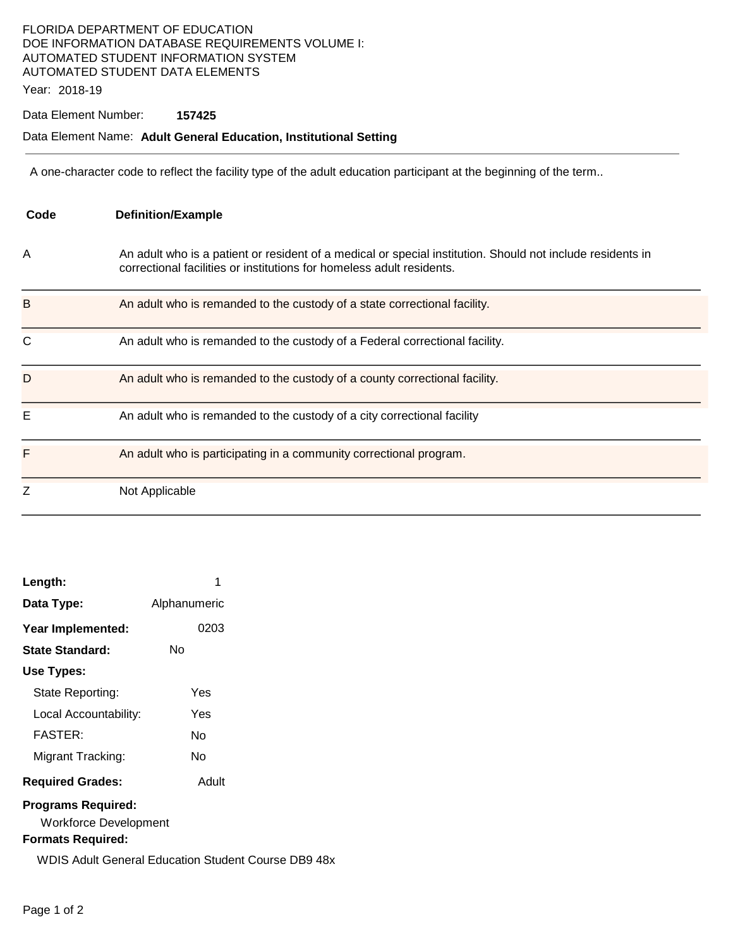## FLORIDA DEPARTMENT OF EDUCATION DOE INFORMATION DATABASE REQUIREMENTS VOLUME I: AUTOMATED STUDENT INFORMATION SYSTEM AUTOMATED STUDENT DATA ELEMENTS

Year: 2018-19

### Data Element Number: **157425**

#### Data Element Name: **Adult General Education, Institutional Setting**

A one-character code to reflect the facility type of the adult education participant at the beginning of the term..

| Code | <b>Definition/Example</b>                                                                                                                                                           |
|------|-------------------------------------------------------------------------------------------------------------------------------------------------------------------------------------|
| A    | An adult who is a patient or resident of a medical or special institution. Should not include residents in<br>correctional facilities or institutions for homeless adult residents. |
| B    | An adult who is remanded to the custody of a state correctional facility.                                                                                                           |
| C    | An adult who is remanded to the custody of a Federal correctional facility.                                                                                                         |
| D    | An adult who is remanded to the custody of a county correctional facility.                                                                                                          |
| E    | An adult who is remanded to the custody of a city correctional facility                                                                                                             |
| F    | An adult who is participating in a community correctional program.                                                                                                                  |
| Z    | Not Applicable                                                                                                                                                                      |

| Length:                   | 1            |  |  |  |
|---------------------------|--------------|--|--|--|
| Data Type:                | Alphanumeric |  |  |  |
| Year Implemented:         | 0203         |  |  |  |
| State Standard:           | N٥           |  |  |  |
| Use Types:                |              |  |  |  |
| State Reporting:          | Yes          |  |  |  |
| Local Accountability:     | Yes          |  |  |  |
| <b>FASTER:</b>            | N٥           |  |  |  |
| Migrant Tracking:         | N٥           |  |  |  |
| <b>Required Grades:</b>   | Adult        |  |  |  |
| <b>Programs Required:</b> |              |  |  |  |

Workforce Development

### **Formats Required:**

WDIS Adult General Education Student Course DB9 48x